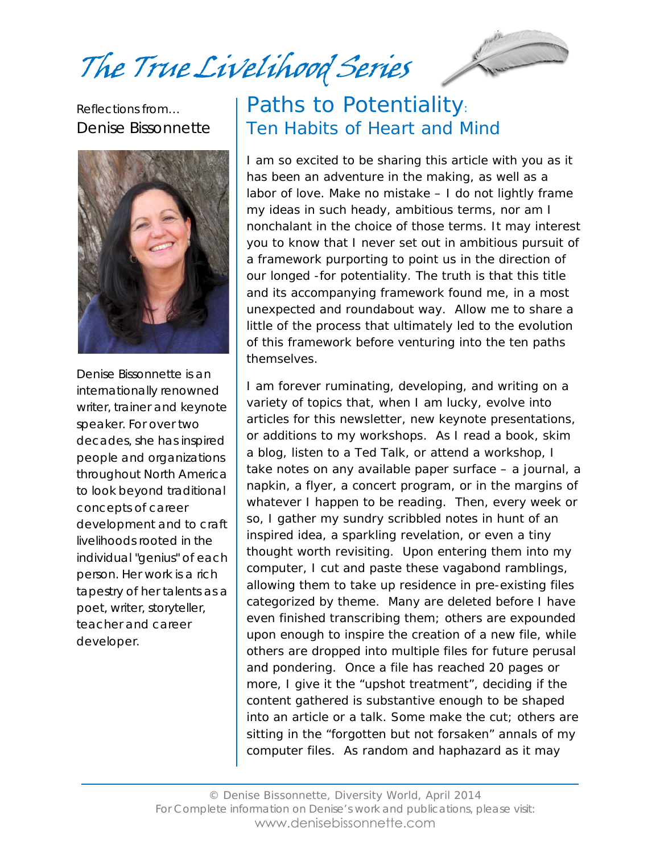The True Livelihood Series



Reflections from… Denise Bissonnette



Denise Bissonnette is an internationally renowned writer, trainer and keynote speaker. For over two decades, she has inspired people and organizations throughout North America to look beyond traditional concepts of career development and to craft livelihoods rooted in the individual "genius" of each person. Her work is a rich tapestry of her talents as a poet, writer, storyteller, teacher and career developer.

# Paths to Potentiality: Ten Habits of Heart and Mind

I am so excited to be sharing this article with you as it has been an adventure in the making, as well as a labor of love. Make no mistake – I do not lightly frame my ideas in such heady, ambitious terms, nor am I nonchalant in the choice of those terms. It may interest you to know that I never set out in ambitious pursuit of a framework purporting to point us in the direction of our longed -for potentiality. The truth is that this title and its accompanying framework found *me,* in a most unexpected and roundabout way. Allow me to share a little of the process that ultimately led to the evolution of this framework before venturing into the ten paths themselves.

I am forever ruminating, developing, and writing on a variety of topics that, when I am lucky, evolve into articles for this newsletter, new keynote presentations, or additions to my workshops. As I read a book, skim a blog, listen to a Ted Talk, or attend a workshop, I take notes on any available paper surface – a journal, a napkin, a flyer, a concert program, or in the margins of whatever I happen to be reading. Then, every week or so, I gather my sundry scribbled notes in hunt of an inspired idea, a sparkling revelation, or even a tiny thought worth revisiting. Upon entering them into my computer, I cut and paste these vagabond ramblings, allowing them to take up residence in pre-existing files categorized by theme. Many are deleted before I have even finished transcribing them; others are expounded upon enough to inspire the creation of a new file, while others are dropped into *multiple* files for future perusal and pondering. Once a file has reached 20 pages or more, I give it the "upshot treatment", deciding if the content gathered is substantive enough to be shaped into an article or a talk. Some make the cut; others are sitting in the "forgotten but not forsaken" annals of my computer files. As random and haphazard as it may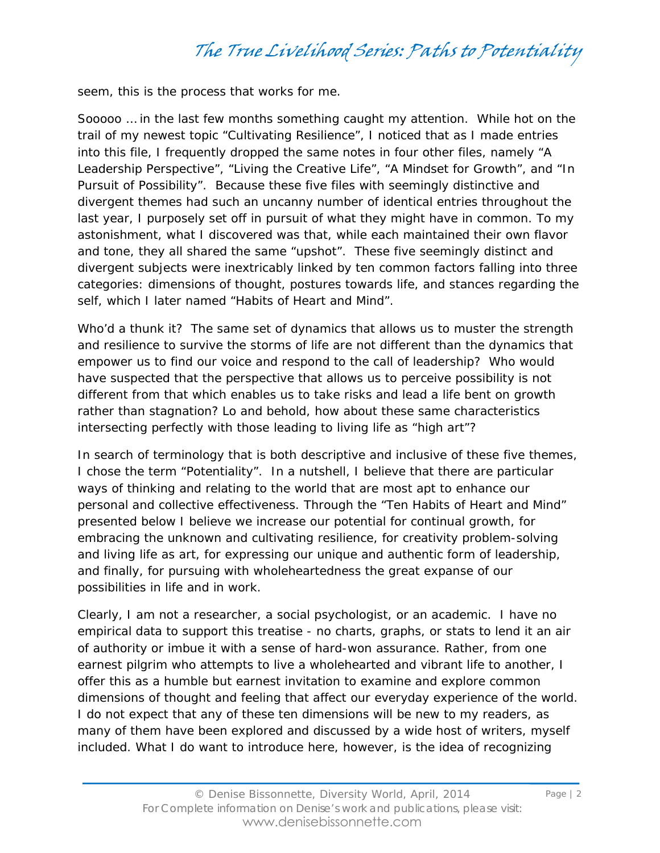seem, this is the process that works for me.

Sooooo … in the last few months something caught my attention. While hot on the trail of my newest topic "Cultivating Resilience", I noticed that as I made entries into this file, I frequently dropped the same notes in four other files, namely "A Leadership Perspective", "Living the Creative Life", "A Mindset for Growth", and "In Pursuit of Possibility". Because these five files with seemingly distinctive and divergent themes had such an uncanny number of identical entries throughout the last year, I purposely set off in pursuit of what they might have in common. To my astonishment, what I discovered was that, while each maintained their own flavor and tone, they all shared the same "upshot". These five seemingly distinct and divergent subjects were inextricably linked by ten common factors falling into three categories: dimensions of thought, postures towards life, and stances regarding the self, which I later named "Habits of Heart and Mind".

Who'd a thunk it? The same set of dynamics that allows us to muster the strength and resilience to survive the storms of life are not different than the dynamics that empower us to find our voice and respond to the call of leadership? Who would have suspected that the perspective that allows us to perceive possibility is not different from that which enables us to take risks and lead a life bent on growth rather than stagnation? Lo and behold, how about these same characteristics intersecting perfectly with those leading to living life as "high art"?

In search of terminology that is both descriptive and inclusive of these five themes, I chose the term "Potentiality". In a nutshell, I believe that there are particular ways of thinking and relating to the world that are most apt to enhance our personal and collective effectiveness. Through the "Ten Habits of Heart and Mind" presented below I believe we increase our potential for continual growth, for embracing the unknown and cultivating resilience, for creativity problem-solving and living life as art, for expressing our unique and authentic form of leadership, and finally, for pursuing with wholeheartedness the great expanse of our possibilities in life and in work.

Clearly, I am not a researcher, a social psychologist, or an academic. I have no empirical data to support this treatise - no charts, graphs, or stats to lend it an air of authority or imbue it with a sense of hard-won assurance. Rather, from one earnest pilgrim who attempts to live a wholehearted and vibrant life to another, I offer this as a humble but earnest invitation to examine and explore common dimensions of thought and feeling that affect our everyday experience of the world. I do not expect that any of these ten dimensions will be new to my readers, as many of them have been explored and discussed by a wide host of writers, myself included. What I do want to introduce here, however, is the idea of recognizing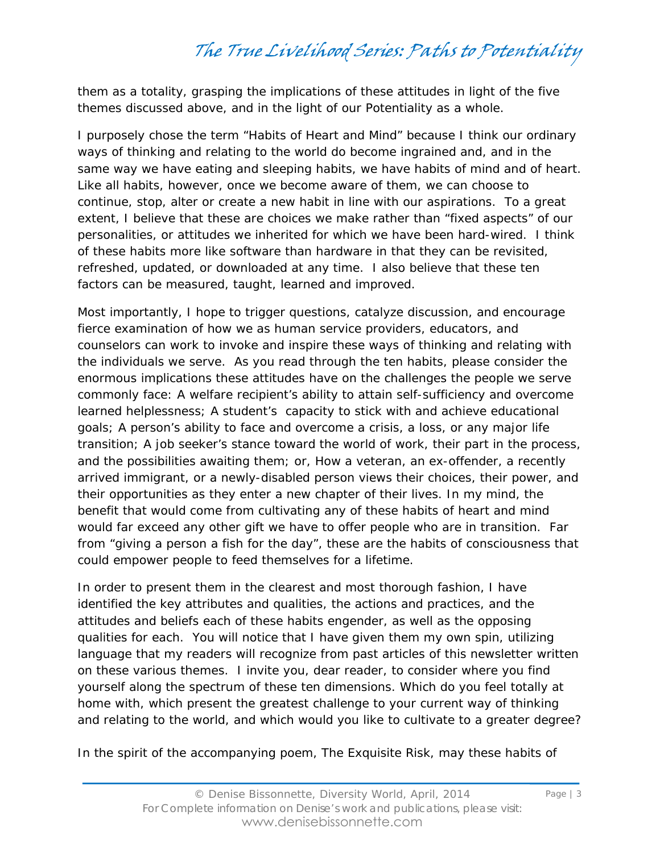them as a *totality*, grasping the implications of these attitudes in light of the five themes discussed above, and in the light of our Potentiality as a whole.

I purposely chose the term "Habits of Heart and Mind" because I think our ordinary ways of thinking and relating to the world do become ingrained and, and in the same way we have eating and sleeping habits, we have habits of mind and of heart. Like all habits, however, once we become aware of them, we can choose to continue, stop, alter or create a new habit in line with our aspirations. To a great extent, I believe that these are *choices we make* rather than "fixed aspects" of our personalities, or attitudes we inherited for which we have been hard-wired. I think of these habits more like software than hardware in that they can be revisited, refreshed, updated, or downloaded at any time. I also believe that these ten factors can be measured, taught, learned and improved.

Most importantly, I hope to trigger questions, catalyze discussion, and encourage fierce examination of how we as human service providers, educators, and counselors can work to invoke and inspire these ways of thinking and relating with the individuals we serve. As you read through the ten habits, please consider the enormous implications these attitudes have on the challenges the people we serve commonly face: A welfare recipient's ability to attain self-sufficiency and overcome learned helplessness; A student's capacity to stick with and achieve educational goals; A person's ability to face and overcome a crisis, a loss, or any major life transition; A job seeker's stance toward the world of work, their part in the process, and the possibilities awaiting them; or, How a veteran, an ex-offender, a recently arrived immigrant, or a newly-disabled person views their choices, their power, and their opportunities as they enter a new chapter of their lives. In my mind, the benefit that would come from cultivating any of these habits of heart and mind would far exceed any other gift we have to offer people who are in transition. Far from "giving a person a fish for the day", these are the habits of consciousness that could empower people to feed themselves for a lifetime.

In order to present them in the clearest and most thorough fashion, I have identified the key attributes and qualities, the actions and practices, and the attitudes and beliefs each of these habits engender, as well as the opposing qualities for each. You will notice that I have given them my own spin, utilizing language that my readers will recognize from past articles of this newsletter written on these various themes. I invite you, dear reader, to consider where you find yourself along the spectrum of these ten dimensions. Which do you feel totally at home with, which present the greatest challenge to your current way of thinking and relating to the world, and which would you like to cultivate to a greater degree?

In the spirit of the accompanying poem, *The Exquisite Risk*, may these habits of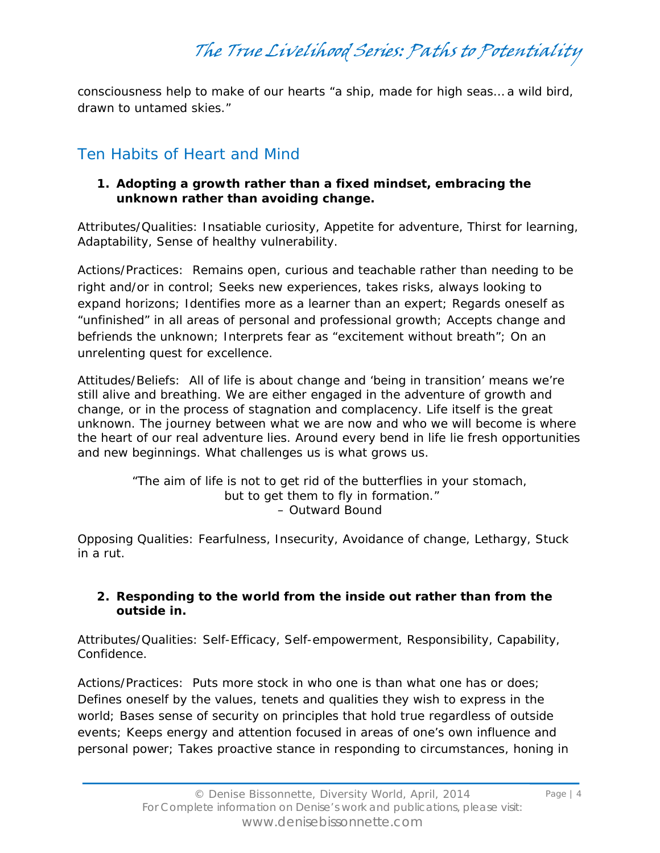consciousness help to make of our hearts "a ship, made for high seas… a wild bird, drawn to untamed skies."

## Ten Habits of Heart and Mind

### **1. Adopting a growth rather than a fixed mindset, embracing the unknown rather than avoiding change.**

*Attributes/Qualities:* Insatiable curiosity, Appetite for adventure, Thirst for learning, Adaptability, Sense of healthy vulnerability.

*Actions/Practices:* Remains open, curious and teachable rather than needing to be right and/or in control; Seeks new experiences, takes risks, always looking to expand horizons; Identifies more as a learner than an expert; Regards oneself as "unfinished" in all areas of personal and professional growth; Accepts change and befriends the unknown; Interprets fear as "excitement without breath"; On an unrelenting quest for excellence.

*Attitudes/Beliefs:* All of life is about change and 'being in transition' means we're still alive and breathing. We are either engaged in the adventure of growth and change, or in the process of stagnation and complacency. Life itself is the great unknown. The journey between what we are now and who we will become is where the heart of our real adventure lies. Around every bend in life lie fresh opportunities and new beginnings. What challenges us is what grows us.

> *"The aim of life is not to get rid of the butterflies in your stomach, but to get them to fly in formation." –* Outward Bound

*Opposing Qualities*: Fearfulness, Insecurity, Avoidance of change, Lethargy, Stuck in a rut.

### **2. Responding to the world from the inside out rather than from the outside in.**

*Attributes/Qualities:* Self-Efficacy, Self-empowerment, Responsibility, Capability, Confidence.

*Actions/Practices:* Puts more stock in who one *is* than what one has or does; Defines oneself by the values, tenets and qualities they wish to express in the world; Bases sense of security on principles that hold true regardless of outside events; Keeps energy and attention focused in areas of one's own influence and personal power; Takes proactive stance in responding to circumstances, honing in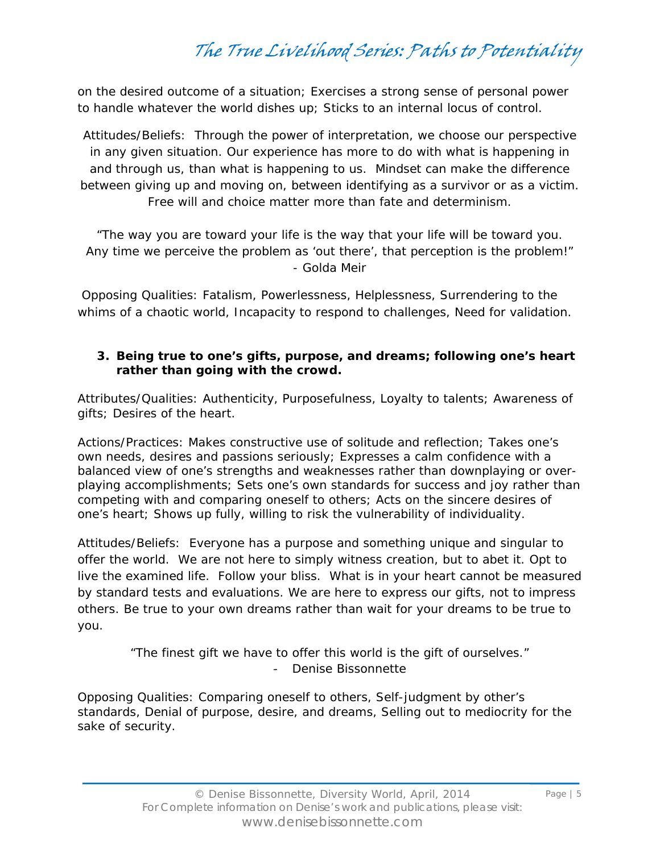on the desired outcome of a situation; Exercises a strong sense of personal power to handle whatever the world dishes up; Sticks to an internal locus of control.

*Attitudes/Beliefs:* Through the power of interpretation, we choose our perspective in any given situation. Our experience has more to do with what is happening *in* and *through* us, than what is happening *to* us. Mindset can make the difference between giving up and moving on, between identifying as a survivor or as a victim. Free will and choice matter more than fate and determinism.

*"The way you are toward your life is the way that your life will be toward you. Any time we perceive the problem as 'out there', that perception is the problem!"*  - Golda Meir

*Opposing Qualities*: Fatalism, Powerlessness, Helplessness, Surrendering to the whims of a chaotic world, Incapacity to respond to challenges, Need for validation.

### **3. Being true to one's gifts, purpose, and dreams; following one's heart rather than going with the crowd.**

*Attributes/Qualities:* Authenticity, Purposefulness, Loyalty to talents; Awareness of gifts; Desires of the heart.

*Actions/Practices:* Makes constructive use of solitude and reflection; Takes one's own needs, desires and passions seriously; Expresses a calm confidence with a balanced view of one's strengths and weaknesses rather than downplaying or overplaying accomplishments; Sets one's own standards for success and joy rather than competing with and comparing oneself to others; Acts on the sincere desires of one's heart; Shows up fully, willing to risk the vulnerability of individuality.

*Attitudes/Beliefs:* Everyone has a purpose and something unique and singular to offer the world. We are not here to simply witness creation, but to abet it. Opt to live the examined life. Follow your bliss. What is in your heart cannot be measured by standard tests and evaluations. We are here to express our gifts, not to impress others. Be true to your own dreams rather than wait for your dreams to be true to you.

> *"The finest gift we have to offer this world is the gift of ourselves."*  - Denise Bissonnette

*Opposing Qualities*: Comparing oneself to others, Self-judgment by other's standards, Denial of purpose, desire, and dreams, Selling out to mediocrity for the sake of security.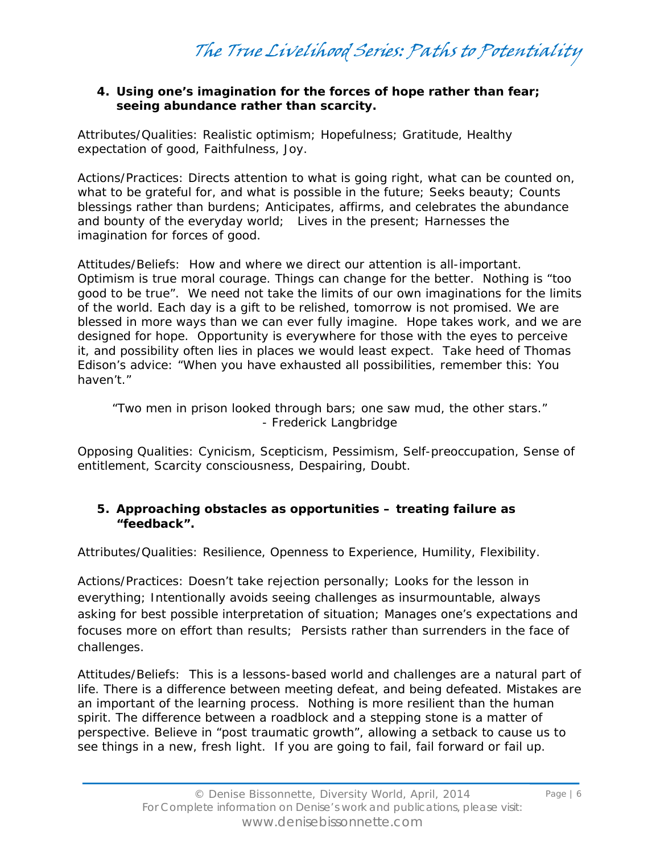#### **4. Using one's imagination for the forces of hope rather than fear; seeing abundance rather than scarcity.**

*Attributes/Qualities:* Realistic optimism; Hopefulness; Gratitude, Healthy expectation of good, Faithfulness, Joy.

*Actions/Practices:* Directs attention to what is going right, what can be counted on, what to be grateful for, and what is possible in the future; Seeks beauty; Counts blessings rather than burdens; Anticipates, affirms, and celebrates the abundance and bounty of the everyday world; Lives in the present; Harnesses the imagination for forces of good.

*Attitudes/Beliefs:* How and where we direct our attention is all-important. Optimism is true moral courage. Things can change for the better. Nothing is "too good to be true". We need not take the limits of our own imaginations for the limits of the world. Each day is a gift to be relished, tomorrow is not promised. We are blessed in more ways than we can ever fully imagine. Hope takes work, and we are designed for hope. Opportunity is everywhere for those with the eyes to perceive it, and possibility often lies in places we would least expect. Take heed of Thomas Edison's advice: "When you have exhausted all possibilities, remember this: You haven't."

### *"Two men in prison looked through bars; one saw mud, the other stars." -* Frederick Langbridge

*Opposing Qualities*: Cynicism, Scepticism, Pessimism, Self-preoccupation, Sense of entitlement, Scarcity consciousness, Despairing, Doubt.

### **5. Approaching obstacles as opportunities – treating failure as "feedback".**

*Attributes/Qualities:* Resilience, Openness to Experience, Humility, Flexibility.

*Actions/Practices:* Doesn't take rejection personally; Looks for the lesson in everything; Intentionally avoids seeing challenges as insurmountable, always asking for best possible interpretation of situation; Manages one's expectations and focuses more on effort than results; Persists rather than surrenders in the face of challenges.

*Attitudes/Beliefs:* This is a lessons-based world and challenges are a natural part of life. There is a difference between meeting defeat, and being defeated. Mistakes are an important of the learning process. Nothing is more resilient than the human spirit. The difference between a roadblock and a stepping stone is a matter of perspective. Believe in "post traumatic growth", allowing a setback to cause us to see things in a new, fresh light. If you are going to fail, fail forward or fail up.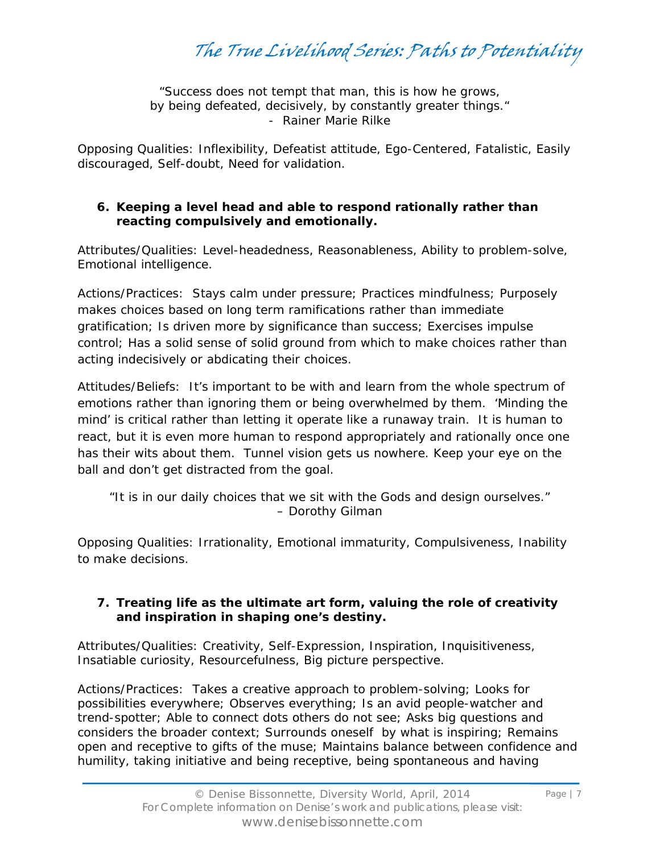The True Livelihood Series: Paths to Potentiality

*"Success does not tempt that man, this is how he grows, by being defeated, decisively, by constantly greater things." -* Rainer Marie Rilke

*Opposing Qualities*: Inflexibility, Defeatist attitude, Ego-Centered, Fatalistic, Easily discouraged, Self-doubt, Need for validation.

#### **6. Keeping a level head and able to respond rationally rather than reacting compulsively and emotionally.**

*Attributes/Qualities:* Level-headedness, Reasonableness, Ability to problem-solve, Emotional intelligence.

*Actions/Practices:* Stays calm under pressure; Practices mindfulness; Purposely makes choices based on long term ramifications rather than immediate gratification; Is driven more by significance than success; Exercises impulse control; Has a solid sense of solid ground from which to make choices rather than acting indecisively or abdicating their choices.

*Attitudes/Beliefs:* It's important to be with and learn from the whole spectrum of emotions rather than ignoring them or being overwhelmed by them. 'Minding the mind' is critical rather than letting it operate like a runaway train. It is human to react, but it is even *more* human to respond appropriately and rationally once one has their wits about them. Tunnel vision gets us nowhere. Keep your eye on the ball and don't get distracted from the goal.

*"It is in our daily choices that we sit with the Gods and design ourselves."*  – Dorothy Gilman

*Opposing Qualities:* Irrationality, Emotional immaturity, Compulsiveness, Inability to make decisions.

### **7. Treating life as the ultimate art form, valuing the role of creativity and inspiration in shaping one's destiny.**

*Attributes/Qualities:* Creativity, Self-Expression, Inspiration, Inquisitiveness, Insatiable curiosity, Resourcefulness, Big picture perspective.

*Actions/Practices:* Takes a creative approach to problem-solving; Looks for possibilities everywhere; Observes everything; Is an avid people-watcher and trend-spotter; Able to connect dots others do not see; Asks big questions and considers the broader context; Surrounds oneself by what is inspiring; Remains open and receptive to gifts of the muse; Maintains balance between confidence and humility, taking initiative and being receptive, being spontaneous and having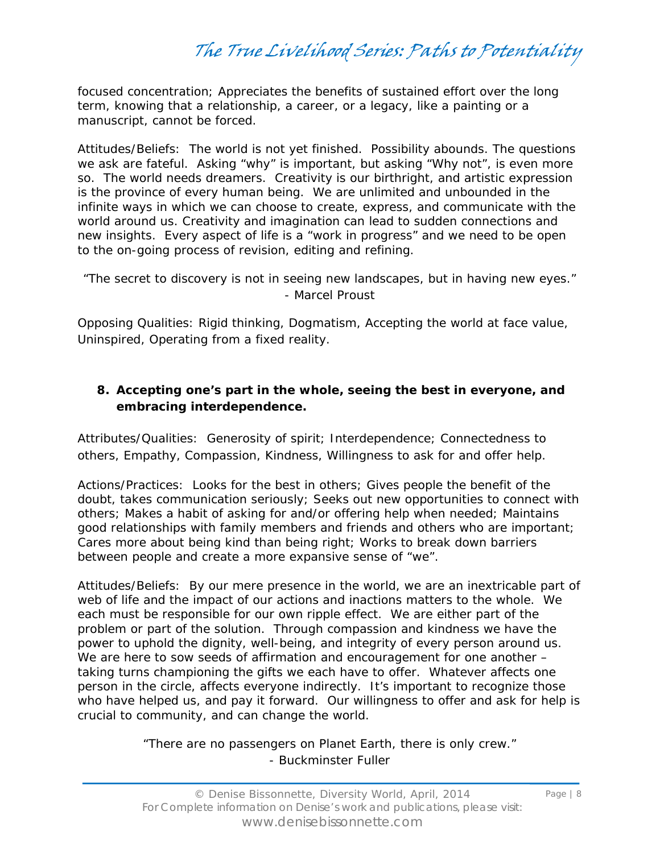focused concentration; Appreciates the benefits of sustained effort over the long term, knowing that a relationship, a career, or a legacy, like a painting or a manuscript, cannot be forced.

*Attitudes/Beliefs:* The world is not yet finished. Possibility abounds. The questions we ask are fateful. Asking "why" is important, but asking "Why not", is even more so. The world needs dreamers. Creativity is our birthright, and artistic expression is the province of every human being. We are unlimited and unbounded in the infinite ways in which we can choose to create, express, and communicate with the world around us. Creativity and imagination can lead to sudden connections and new insights. Every aspect of life is a "work in progress" and we need to be open to the on-going process of revision, editing and refining.

*"The secret to discovery is not in seeing new landscapes, but in having new eyes."*  - Marcel Proust

*Opposing Qualities:* Rigid thinking, Dogmatism, Accepting the world at face value, Uninspired, Operating from a fixed reality.

### **8. Accepting one's part in the whole, seeing the best in everyone, and embracing interdependence.**

*Attributes/Qualities:* Generosity of spirit; Interdependence; Connectedness to others, Empathy, Compassion, Kindness, Willingness to ask for and offer help.

*Actions/Practices:* Looks for the best in others; Gives people the benefit of the doubt, takes communication seriously; Seeks out new opportunities to connect with others; Makes a habit of asking for and/or offering help when needed; Maintains good relationships with family members and friends and others who are important; Cares more about being kind than being right; Works to break down barriers between people and create a more expansive sense of "we".

*Attitudes/Beliefs:* By our mere presence in the world, we are an inextricable part of web of life and the impact of our actions and inactions matters to the whole. We each must be responsible for our own ripple effect. We are either part of the problem or part of the solution. Through compassion and kindness we have the power to uphold the dignity, well-being, and integrity of every person around us. We are here to sow seeds of affirmation and encouragement for one another taking turns championing the gifts we each have to offer. Whatever affects one person in the circle, affects everyone indirectly. It's important to recognize those who have helped us, and pay it forward. Our willingness to offer and ask for help is crucial to community, and can change the world.

> *"There are no passengers on Planet Earth, there is only crew."*  - Buckminster Fuller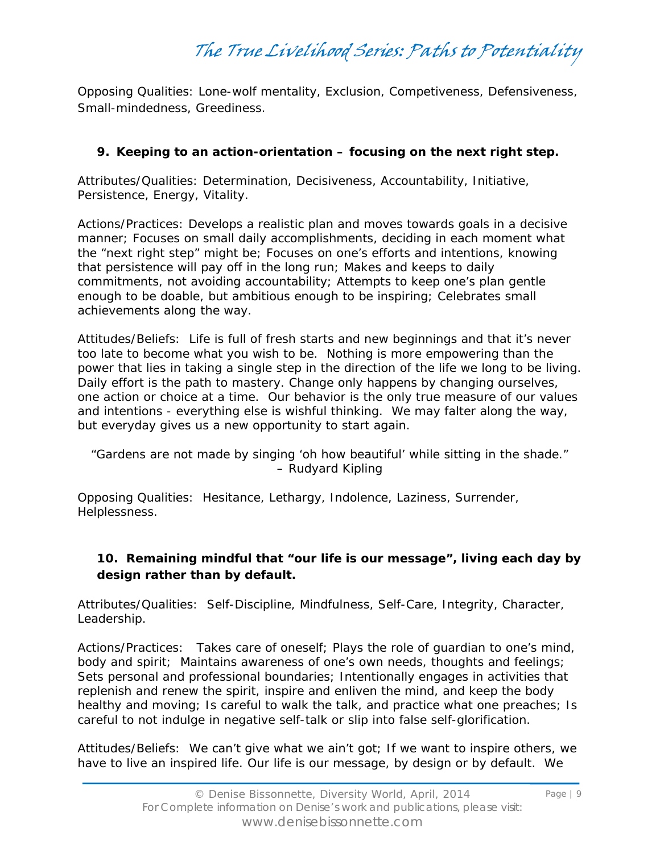*Opposing Qualities:* Lone-wolf mentality, Exclusion, Competiveness, Defensiveness, Small-mindedness, Greediness.

### **9. Keeping to an action-orientation – focusing on the next right step.**

*Attributes/Qualities:* Determination, Decisiveness, Accountability, Initiative, Persistence, Energy, Vitality.

*Actions/Practices:* Develops a realistic plan and moves towards goals in a decisive manner; Focuses on small daily accomplishments, deciding in each moment what the "next right step" might be; Focuses on one's efforts and intentions, knowing that persistence will pay off in the long run; Makes and keeps to daily commitments, not avoiding accountability; Attempts to keep one's plan gentle enough to be doable, but ambitious enough to be inspiring; Celebrates small achievements along the way.

*Attitudes/Beliefs:* Life is full of fresh starts and new beginnings and that it's never too late to become what you wish to be. Nothing is more empowering than the power that lies in taking a single step in the direction of the life we long to be living. Daily effort is the path to mastery. Change only happens by changing ourselves, one action or choice at a time. Our behavior is the only true measure of our values and intentions - everything else is wishful thinking. We may falter along the way, but everyday gives us a new opportunity to start again.

*"Gardens are not made by singing 'oh how beautiful' while sitting in the shade."* – Rudyard Kipling

*Opposing Qualities:* Hesitance, Lethargy, Indolence, Laziness, Surrender, Helplessness.

### **10. Remaining mindful that "our life is our message", living each day by design rather than by default.**

*Attributes/Qualities:* Self-Discipline, Mindfulness, Self-Care, Integrity, Character, Leadership.

*Actions/Practices:* Takes care of oneself; Plays the role of guardian to one's mind, body and spirit; Maintains awareness of one's own needs, thoughts and feelings; Sets personal and professional boundaries; Intentionally engages in activities that replenish and renew the spirit, inspire and enliven the mind, and keep the body healthy and moving; Is careful to walk the talk, and practice what one preaches; Is careful to not indulge in negative self-talk or slip into false self-glorification.

*Attitudes/Beliefs:* We can't give what we ain't got; If we want to inspire others, we have to live an inspired life. Our life is our message, by design or by default. We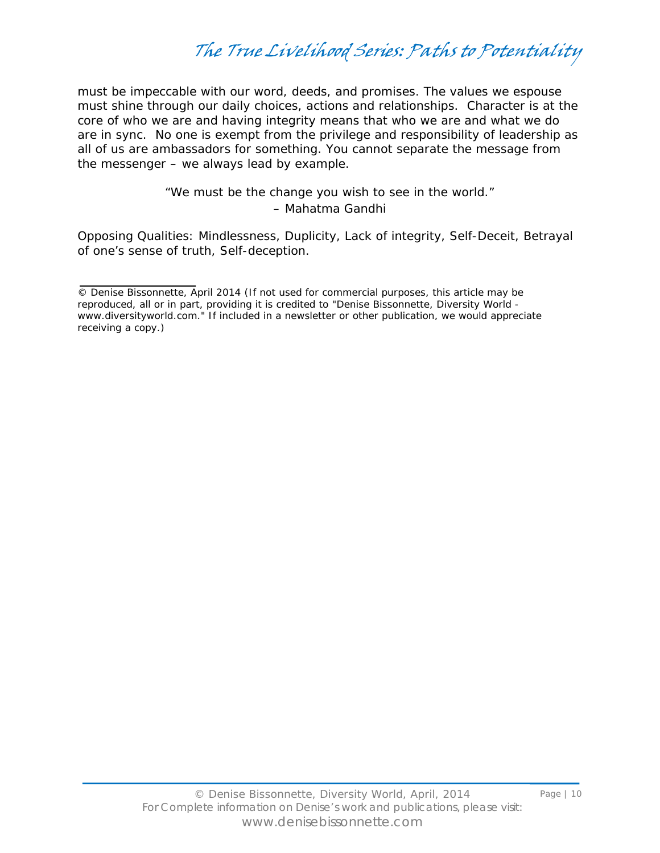must be impeccable with our word, deeds, and promises. The values we espouse must shine through our daily choices, actions and relationships. Character is at the core of who we are and having integrity means that who we are and what we do are in sync. No one is exempt from the privilege and responsibility of leadership as all of us are ambassadors for something. You cannot separate the message from the messenger – we always lead by example.

> *"We must be the change you wish to see in the world."*  – Mahatma Gandhi

*Opposing Qualities:* Mindlessness, Duplicity, Lack of integrity, Self-Deceit, Betrayal of one's sense of truth, Self-deception.

<sup>©</sup> Denise Bissonnette, April 2014 (If not used for commercial purposes, this article may be reproduced, all or in part, providing it is credited to "Denise Bissonnette, Diversity World www.diversityworld.com." If included in a newsletter or other publication, we would appreciate receiving a copy.)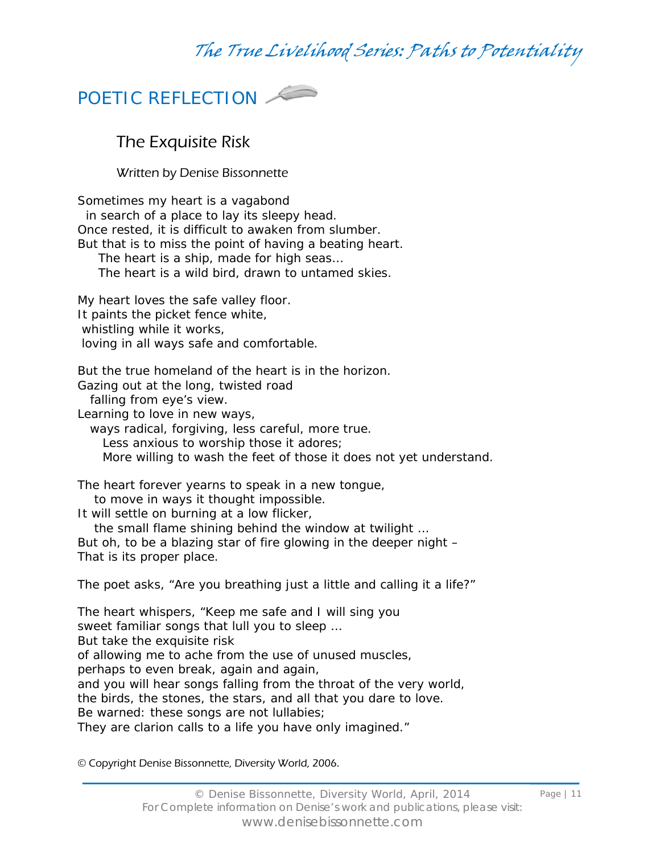

## The Exquisite Risk

Written by Denise Bissonnette

Sometimes my heart is a vagabond in search of a place to lay its sleepy head. Once rested, it is difficult to awaken from slumber. But that is to miss the point of having a beating heart. The heart is a ship, made for high seas… The heart is a wild bird, drawn to untamed skies. My heart loves the safe valley floor. It paints the picket fence white, whistling while it works, loving in all ways safe and comfortable.

But the true homeland of the heart is in the horizon. Gazing out at the long, twisted road

falling from eye's view.

Learning to love in new ways,

ways radical, forgiving, less careful, more true.

Less anxious to worship those it adores;

More willing to wash the feet of those it does not yet understand.

The heart forever yearns to speak in a new tongue, to move in ways it thought impossible.

It will settle on burning at a low flicker,

 the small flame shining behind the window at twilight … But oh, to be a blazing star of fire glowing in the deeper night –

That is its proper place.

The poet asks, "Are you breathing just a little and calling it a life?"

The heart whispers, "Keep me safe and I will sing you sweet familiar songs that lull you to sleep … But take the exquisite risk of allowing me to ache from the use of unused muscles, perhaps to even break, again and again, and you will hear songs falling from the throat of the very world, the birds, the stones, the stars, and all that you dare to love. Be warned: these songs are not lullabies; They are clarion calls to a life you have only imagined."

© Copyright Denise Bissonnette, Diversity World, 2006.